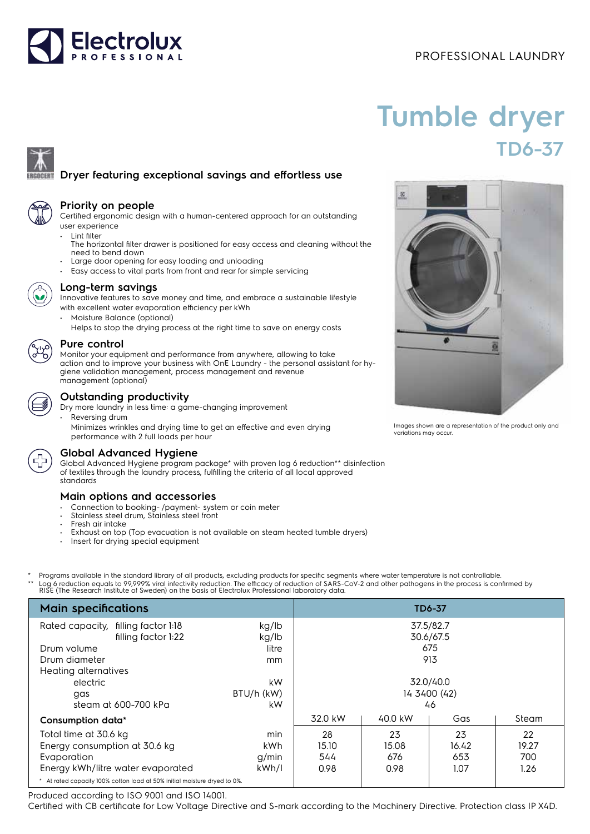# **Electrolux**

### PROFESSIONAL LAUNDRY

## **Tumble dryer TD6-37**

#### **Dryer featuring exceptional savings and effortless use**

#### **Priority on people**

Certified ergonomic design with a human-centered approach for an outstanding user experience

- Lint filter The horizontal filter drawer is positioned for easy access and cleaning without the need to bend down
- Large door opening for easy loading and unloading
- Easy access to vital parts from front and rear for simple servicing



#### **Long-term savings**

Innovative features to save money and time, and embrace a sustainable lifestyle with excellent water evaporation efficiency per kWh

- Moisture Balance (optional)
	- Helps to stop the drying process at the right time to save on energy costs

#### **Pure control**

Monitor your equipment and performance from anywhere, allowing to take action and to improve your business with OnE Laundry - the personal assistant for hygiene validation management, process management and revenue management (optional)

#### **Outstanding productivity**

Dry more laundry in less time: a game-changing improvement

Reversing drum Minimizes wrinkles and drying time to get an effective and even drying performance with 2 full loads per hour

#### **Global Advanced Hygiene**

Global Advanced Hygiene program package\* with proven log 6 reduction\*\* disinfection of textiles through the laundry process, fulfilling the criteria of all local approved standards

#### **Main options and accessories**

- Connection to booking-/payment- system or coin meter
- Stainless steel drum, Stainless steel front
- Fresh air intake
- Exhaust on top (Top evacuation is not available on steam heated tumble dryers)
- Insert for drying special equipment
- Programs available in the standard library of all products, excluding products for specific segments where water temperature is not controllable. Log 6 reduction equals to 99,999% viral infectivity reduction. The efficacy of reduction of SARS-CoV-2 and other pathogens in the process is confirmed by RISE (The Research Institute of Sweden) on the basis of Electrolux Professional laboratory data.

| <b>Main specifications</b>                                                |                |                        |         | <b>TD6-37</b> |       |
|---------------------------------------------------------------------------|----------------|------------------------|---------|---------------|-------|
| Rated capacity, filling factor 1:18<br>filling factor 1:22                | kg/lb<br>kg/lb | 37.5/82.7<br>30.6/67.5 |         |               |       |
| Drum volume                                                               | litre          | 675                    |         |               |       |
| Drum diameter                                                             | <sub>mm</sub>  | 913                    |         |               |       |
| Heating alternatives                                                      |                |                        |         |               |       |
| electric                                                                  | kW             | 32.0/40.0              |         |               |       |
| qas                                                                       | BTU/h (kW)     | 14 3400 (42)           |         |               |       |
| steam at 600-700 kPa                                                      | kW             | 46                     |         |               |       |
| Consumption data*                                                         |                | 32.0 kW                | 40.0 kW | Gas           | Steam |
| Total time at 30.6 kg                                                     | min            | 28                     | 23      | 23            | 22    |
| Energy consumption at 30.6 kg                                             | kWh            | 15.10                  | 15.08   | 16.42         | 19.27 |
| Evaporation                                                               | g/min          | 544                    | 676     | 653           | 700   |
| Energy kWh/litre water evaporated                                         | kWh/l          | 0.98                   | 0.98    | 1.07          | 1.26  |
| * At rated capacity 100% cotton load at 50% initial moisture dryed to 0%. |                |                        |         |               |       |

Produced according to ISO 9001 and ISO 14001.

Certified with CB certificate for Low Voltage Directive and S-mark according to the Machinery Directive. Protection class IP X4D.



Images shown are a representation of the product only and variations may occur.